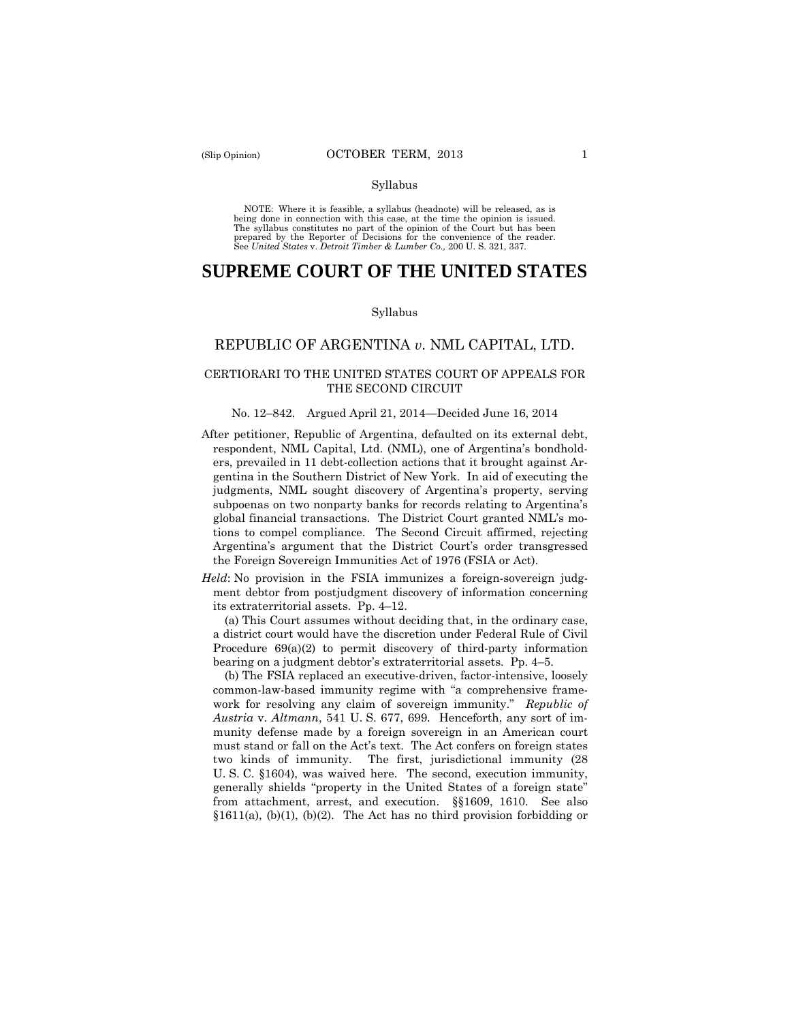#### Syllabus

 NOTE: Where it is feasible, a syllabus (headnote) will be released, as is being done in connection with this case, at the time the opinion is issued. The syllabus constitutes no part of the opinion of the Court but has been<br>prepared by the Reporter of Decisions for the convenience of the reader.<br>See United States v. Detroit Timber & Lumber Co., 200 U.S. 321, 337.

# **SUPREME COURT OF THE UNITED STATES**

#### Syllabus

## REPUBLIC OF ARGENTINA *v*. NML CAPITAL, LTD.

### CERTIORARI TO THE UNITED STATES COURT OF APPEALS FOR THE SECOND CIRCUIT

### No. 12–842. Argued April 21, 2014—Decided June 16, 2014

- After petitioner, Republic of Argentina, defaulted on its external debt, respondent, NML Capital, Ltd. (NML), one of Argentina's bondholders, prevailed in 11 debt-collection actions that it brought against Argentina in the Southern District of New York. In aid of executing the judgments, NML sought discovery of Argentina's property, serving subpoenas on two nonparty banks for records relating to Argentina's global financial transactions. The District Court granted NML's motions to compel compliance. The Second Circuit affirmed, rejecting Argentina's argument that the District Court's order transgressed the Foreign Sovereign Immunities Act of 1976 (FSIA or Act).
- *Held*: No provision in the FSIA immunizes a foreign-sovereign judgment debtor from postjudgment discovery of information concerning its extraterritorial assets. Pp. 4–12.

(a) This Court assumes without deciding that, in the ordinary case, a district court would have the discretion under Federal Rule of Civil Procedure 69(a)(2) to permit discovery of third-party information bearing on a judgment debtor's extraterritorial assets. Pp. 4–5.

 work for resolving any claim of sovereign immunity." *Republic of*  (b) The FSIA replaced an executive-driven, factor-intensive, loosely common-law-based immunity regime with "a comprehensive frame-*Austria* v. *Altmann*, 541 U. S. 677, 699. Henceforth, any sort of immunity defense made by a foreign sovereign in an American court must stand or fall on the Act's text. The Act confers on foreign states two kinds of immunity. The first, jurisdictional immunity (28 U. S. C. §1604), was waived here. The second, execution immunity, generally shields "property in the United States of a foreign state" from attachment, arrest, and execution. §§1609, 1610. See also  $$1611(a), (b)(1), (b)(2).$  The Act has no third provision forbidding or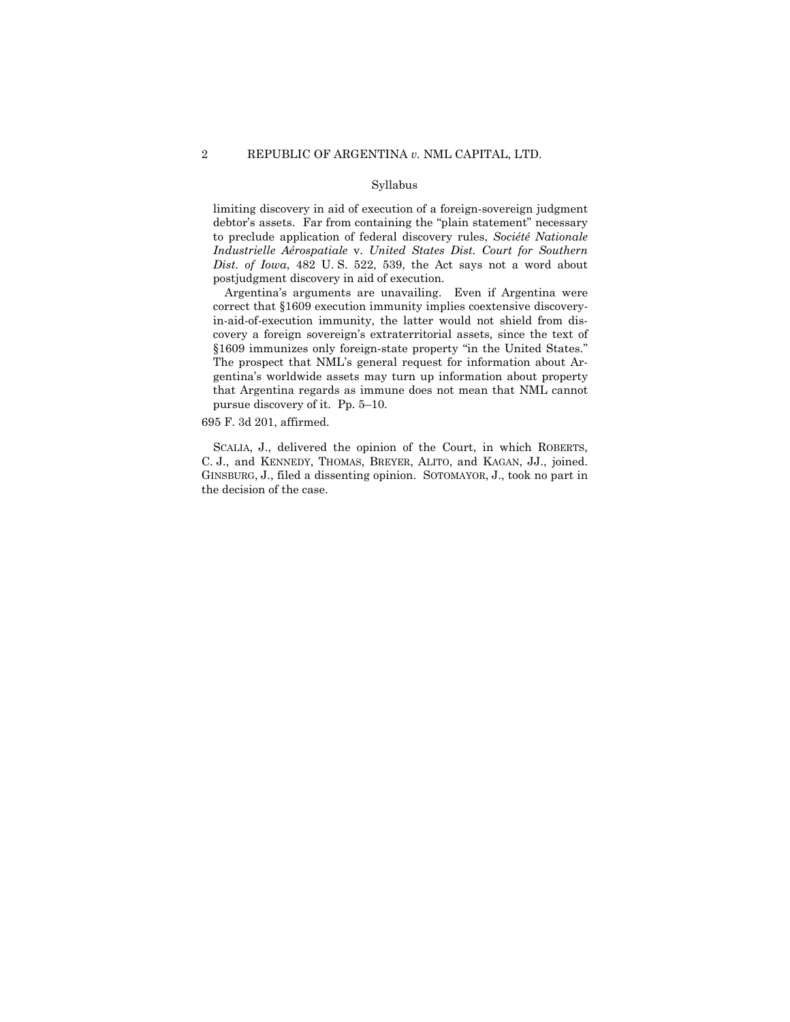### Syllabus

limiting discovery in aid of execution of a foreign-sovereign judgment debtor's assets. Far from containing the "plain statement" necessary to preclude application of federal discovery rules, *Société Nationale Industrielle Aérospatiale* v. *United States Dist. Court for Southern Dist. of Iowa*, 482 U. S. 522, 539, the Act says not a word about postjudgment discovery in aid of execution.

Argentina's arguments are unavailing. Even if Argentina were correct that §1609 execution immunity implies coextensive discoveryin-aid-of-execution immunity, the latter would not shield from discovery a foreign sovereign's extraterritorial assets, since the text of §1609 immunizes only foreign-state property "in the United States." The prospect that NML's general request for information about Argentina's worldwide assets may turn up information about property that Argentina regards as immune does not mean that NML cannot pursue discovery of it. Pp. 5–10.

### 695 F. 3d 201, affirmed.

 C. J., and KENNEDY, THOMAS, BREYER, ALITO, and KAGAN, JJ., joined. SCALIA, J., delivered the opinion of the Court, in which ROBERTS, GINSBURG, J., filed a dissenting opinion. SOTOMAYOR, J., took no part in the decision of the case.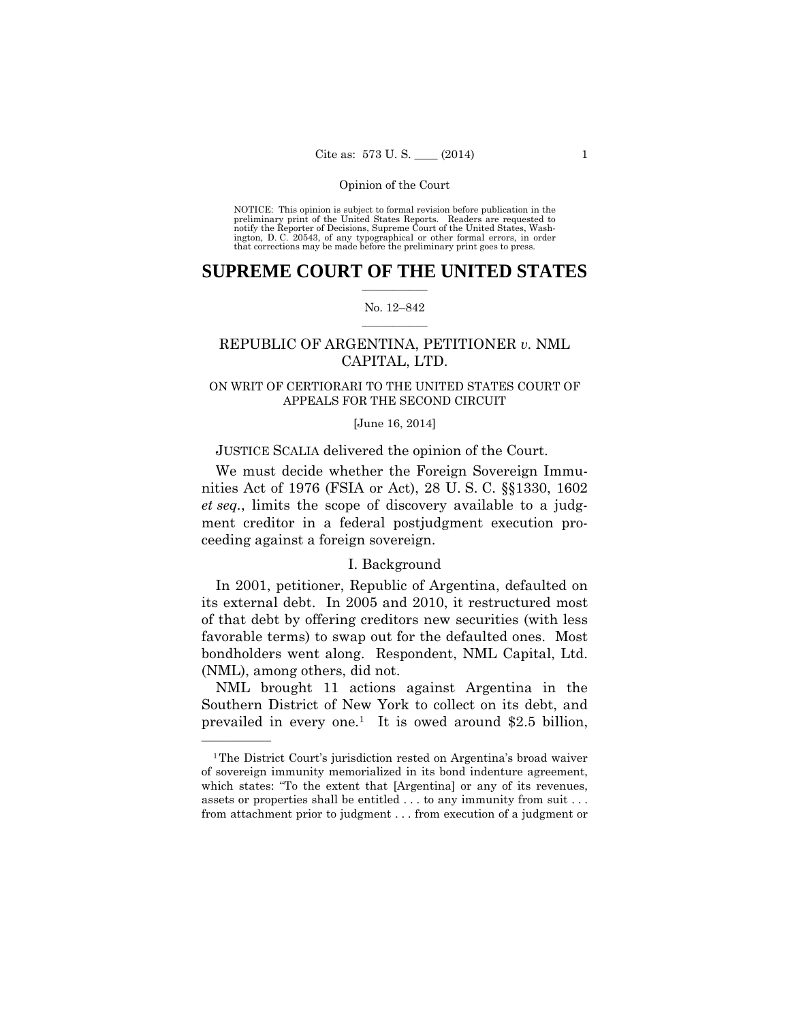preliminary print of the United States Reports. Readers are requested to notify the Reporter of Decisions, Supreme Court of the United States, Wash- ington, D. C. 20543, of any typographical or other formal errors, in order that corrections may be made before the preliminary print goes to press. NOTICE: This opinion is subject to formal revision before publication in the

## $\frac{1}{2}$  ,  $\frac{1}{2}$  ,  $\frac{1}{2}$  ,  $\frac{1}{2}$  ,  $\frac{1}{2}$  ,  $\frac{1}{2}$  ,  $\frac{1}{2}$ **SUPREME COURT OF THE UNITED STATES**

### $\frac{1}{2}$  ,  $\frac{1}{2}$  ,  $\frac{1}{2}$  ,  $\frac{1}{2}$  ,  $\frac{1}{2}$  ,  $\frac{1}{2}$ No. 12–842

## REPUBLIC OF ARGENTINA, PETITIONER *v.* NML CAPITAL, LTD.

## ON WRIT OF CERTIORARI TO THE UNITED STATES COURT OF APPEALS FOR THE SECOND CIRCUIT

### [June 16, 2014]

### JUSTICE SCALIA delivered the opinion of the Court.

We must decide whether the Foreign Sovereign Immunities Act of 1976 (FSIA or Act), 28 U. S. C. §§1330, 1602 *et seq.*, limits the scope of discovery available to a judgment creditor in a federal postjudgment execution proceeding against a foreign sovereign.

## I. Background

In 2001, petitioner, Republic of Argentina, defaulted on its external debt. In 2005 and 2010, it restructured most of that debt by offering creditors new securities (with less favorable terms) to swap out for the defaulted ones. Most bondholders went along. Respondent, NML Capital, Ltd. (NML), among others, did not.

NML brought 11 actions against Argentina in the Southern District of New York to collect on its debt, and prevailed in every one.<sup>1</sup> It is owed around \$2.5 billion,

<sup>&</sup>lt;sup>1</sup>The District Court's jurisdiction rested on Argentina's broad waiver of sovereign immunity memorialized in its bond indenture agreement, which states: "To the extent that [Argentina] or any of its revenues, assets or properties shall be entitled . . . to any immunity from suit . . . from attachment prior to judgment . . . from execution of a judgment or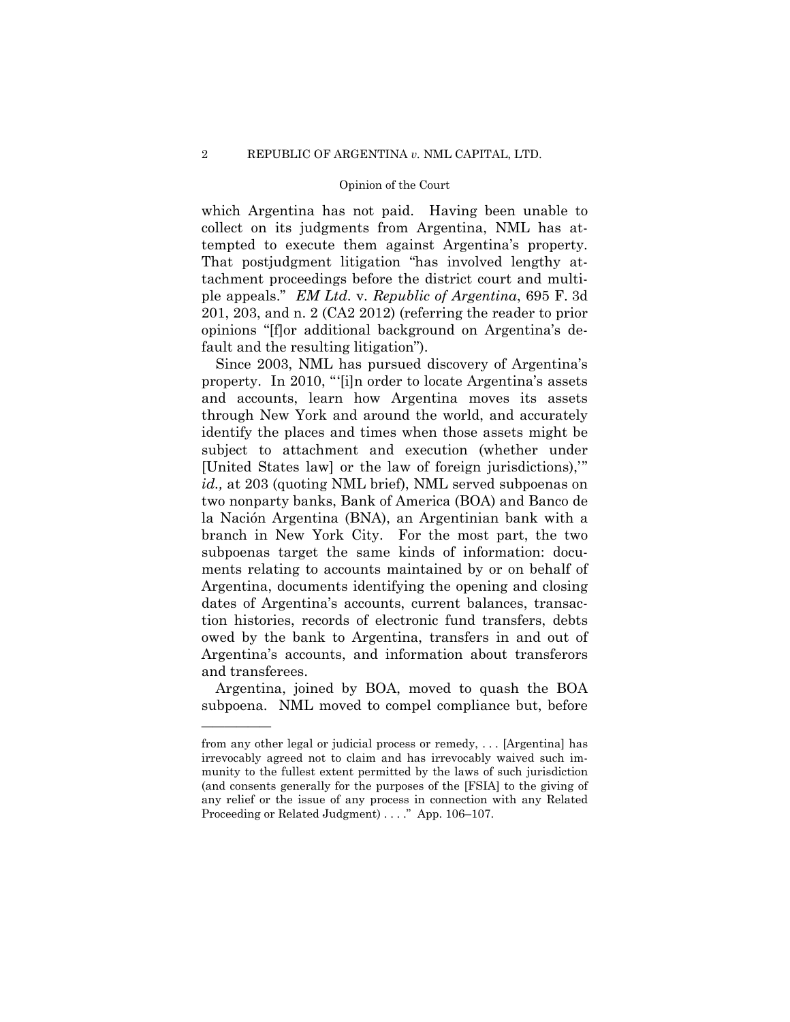tempted to execute them against Argentina's property. which Argentina has not paid. Having been unable to collect on its judgments from Argentina, NML has at-That postjudgment litigation "has involved lengthy attachment proceedings before the district court and multiple appeals." *EM Ltd*. v. *Republic of Argentina*, 695 F. 3d 201, 203, and n. 2 (CA2 2012) (referring the reader to prior opinions "[f]or additional background on Argentina's default and the resulting litigation").

Since 2003, NML has pursued discovery of Argentina's property. In 2010, "'[i]n order to locate Argentina's assets and accounts, learn how Argentina moves its assets through New York and around the world, and accurately identify the places and times when those assets might be subject to attachment and execution (whether under [United States law] or the law of foreign jurisdictions),'" *id.,* at 203 (quoting NML brief), NML served subpoenas on two nonparty banks, Bank of America (BOA) and Banco de la Nación Argentina (BNA), an Argentinian bank with a branch in New York City. For the most part, the two subpoenas target the same kinds of information: documents relating to accounts maintained by or on behalf of Argentina, documents identifying the opening and closing dates of Argentina's accounts, current balances, transaction histories, records of electronic fund transfers, debts owed by the bank to Argentina, transfers in and out of Argentina's accounts, and information about transferors and transferees.

Argentina, joined by BOA, moved to quash the BOA subpoena. NML moved to compel compliance but, before

from any other legal or judicial process or remedy, . . . [Argentina] has irrevocably agreed not to claim and has irrevocably waived such immunity to the fullest extent permitted by the laws of such jurisdiction (and consents generally for the purposes of the [FSIA] to the giving of any relief or the issue of any process in connection with any Related Proceeding or Related Judgment) . . . ." App. 106–107.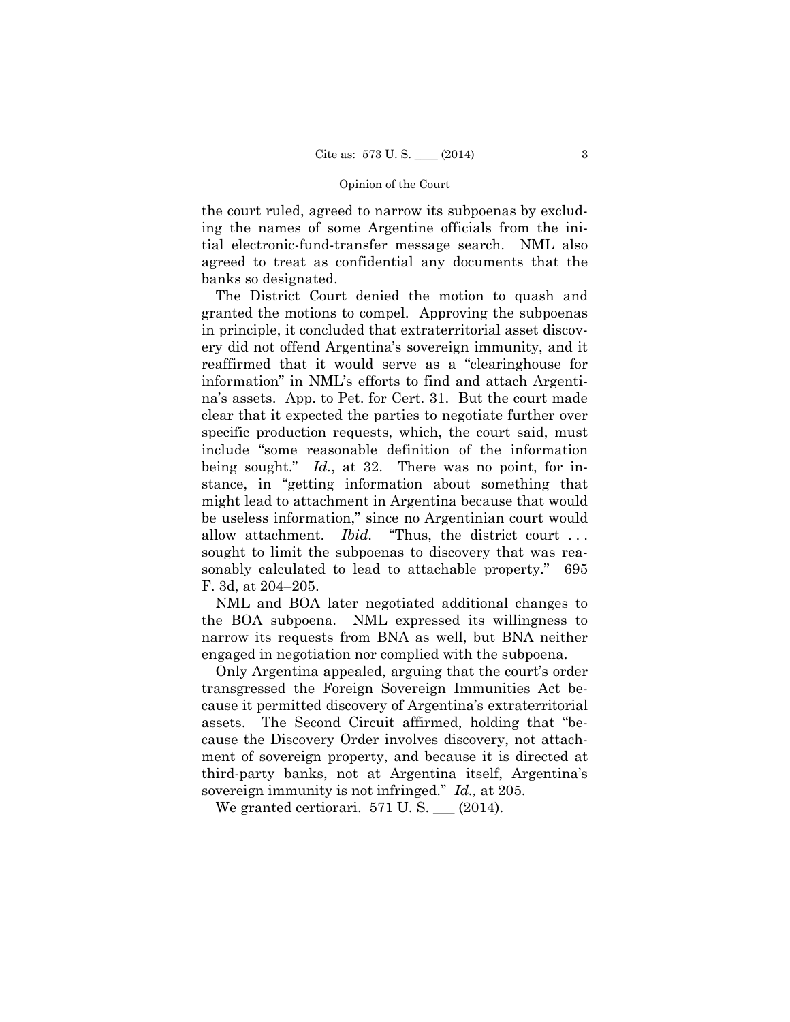the court ruled, agreed to narrow its subpoenas by excluding the names of some Argentine officials from the initial electronic-fund-transfer message search. NML also agreed to treat as confidential any documents that the banks so designated.

The District Court denied the motion to quash and granted the motions to compel. Approving the subpoenas in principle, it concluded that extraterritorial asset discovery did not offend Argentina's sovereign immunity, and it reaffirmed that it would serve as a "clearinghouse for information" in NML's efforts to find and attach Argentina's assets. App. to Pet. for Cert. 31. But the court made clear that it expected the parties to negotiate further over specific production requests, which, the court said, must include "some reasonable definition of the information being sought." *Id.*, at 32. There was no point, for instance, in "getting information about something that might lead to attachment in Argentina because that would be useless information," since no Argentinian court would allow attachment. *Ibid.* "Thus, the district court . . . sought to limit the subpoenas to discovery that was reasonably calculated to lead to attachable property." 695 F. 3d, at 204–205.

NML and BOA later negotiated additional changes to the BOA subpoena. NML expressed its willingness to narrow its requests from BNA as well, but BNA neither engaged in negotiation nor complied with the subpoena.

Only Argentina appealed, arguing that the court's order transgressed the Foreign Sovereign Immunities Act because it permitted discovery of Argentina's extraterritorial assets. The Second Circuit affirmed, holding that "because the Discovery Order involves discovery, not attachment of sovereign property, and because it is directed at third-party banks, not at Argentina itself, Argentina's sovereign immunity is not infringed." *Id.,* at 205.

We granted certiorari.  $571$  U.S.  $\_\_ (2014)$ .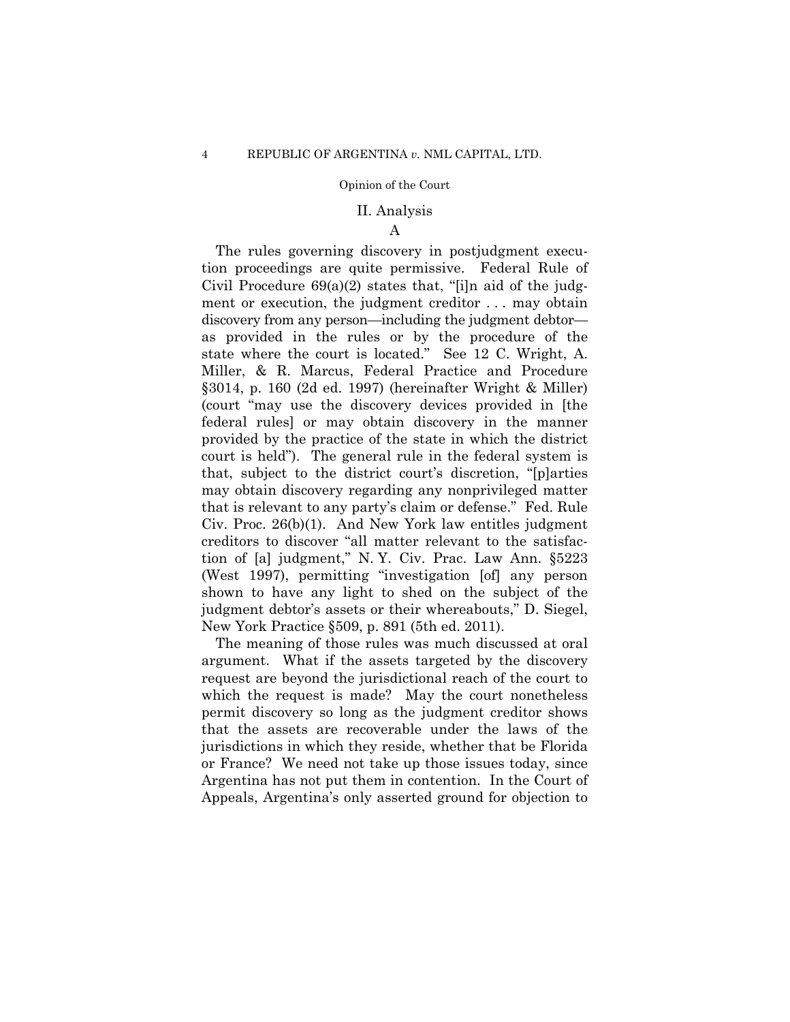## II. Analysis

### A

The rules governing discovery in postjudgment execution proceedings are quite permissive. Federal Rule of Civil Procedure  $69(a)(2)$  states that, "[i]n aid of the judgment or execution, the judgment creditor . . . may obtain discovery from any person—including the judgment debtor as provided in the rules or by the procedure of the state where the court is located." See 12 C. Wright, A. Miller, & R. Marcus, Federal Practice and Procedure §3014, p. 160 (2d ed. 1997) (hereinafter Wright & Miller) (court "may use the discovery devices provided in [the federal rules] or may obtain discovery in the manner provided by the practice of the state in which the district court is held"). The general rule in the federal system is that, subject to the district court's discretion, "[p]arties may obtain discovery regarding any nonprivileged matter that is relevant to any party's claim or defense." Fed. Rule Civ. Proc. 26(b)(1). And New York law entitles judgment creditors to discover "all matter relevant to the satisfaction of [a] judgment," N. Y. Civ. Prac. Law Ann. §5223 (West 1997), permitting "investigation [of] any person shown to have any light to shed on the subject of the judgment debtor's assets or their whereabouts," D. Siegel, New York Practice §509, p. 891 (5th ed. 2011).

The meaning of those rules was much discussed at oral argument. What if the assets targeted by the discovery request are beyond the jurisdictional reach of the court to which the request is made? May the court nonetheless permit discovery so long as the judgment creditor shows that the assets are recoverable under the laws of the jurisdictions in which they reside, whether that be Florida or France? We need not take up those issues today, since Argentina has not put them in contention. In the Court of Appeals, Argentina's only asserted ground for objection to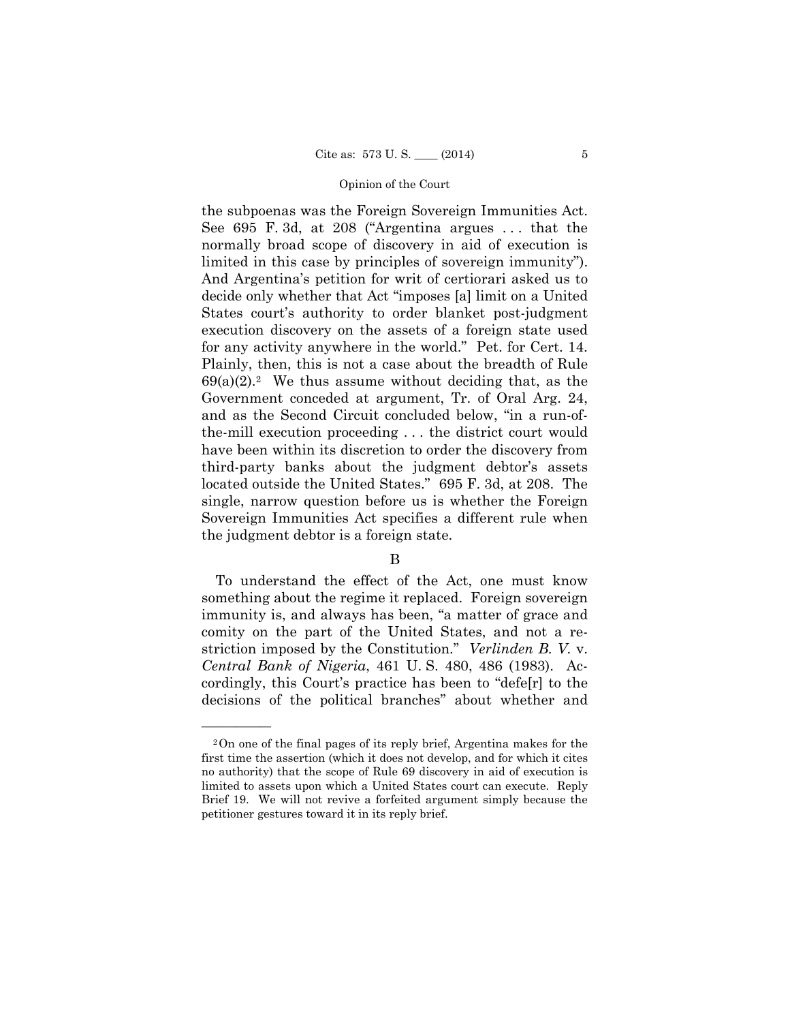$69(a)(2).<sup>2</sup>$  We thus assume without deciding that, as the the subpoenas was the Foreign Sovereign Immunities Act. See 695 F. 3d, at 208 ("Argentina argues . . . that the normally broad scope of discovery in aid of execution is limited in this case by principles of sovereign immunity"). And Argentina's petition for writ of certiorari asked us to decide only whether that Act "imposes [a] limit on a United States court's authority to order blanket post-judgment execution discovery on the assets of a foreign state used for any activity anywhere in the world." Pet. for Cert. 14. Plainly, then, this is not a case about the breadth of Rule Government conceded at argument, Tr. of Oral Arg. 24, and as the Second Circuit concluded below, "in a run-ofthe-mill execution proceeding . . . the district court would have been within its discretion to order the discovery from third-party banks about the judgment debtor's assets located outside the United States." 695 F. 3d, at 208. The single, narrow question before us is whether the Foreign Sovereign Immunities Act specifies a different rule when the judgment debtor is a foreign state.

## B

To understand the effect of the Act, one must know something about the regime it replaced. Foreign sovereign immunity is, and always has been, "a matter of grace and comity on the part of the United States, and not a restriction imposed by the Constitution." *Verlinden B. V.* v. *Central Bank of Nigeria*, 461 U. S. 480, 486 (1983). Accordingly, this Court's practice has been to "defe[r] to the decisions of the political branches" about whether and

<sup>2</sup>On one of the final pages of its reply brief, Argentina makes for the first time the assertion (which it does not develop, and for which it cites no authority) that the scope of Rule 69 discovery in aid of execution is limited to assets upon which a United States court can execute. Reply Brief 19. We will not revive a forfeited argument simply because the petitioner gestures toward it in its reply brief.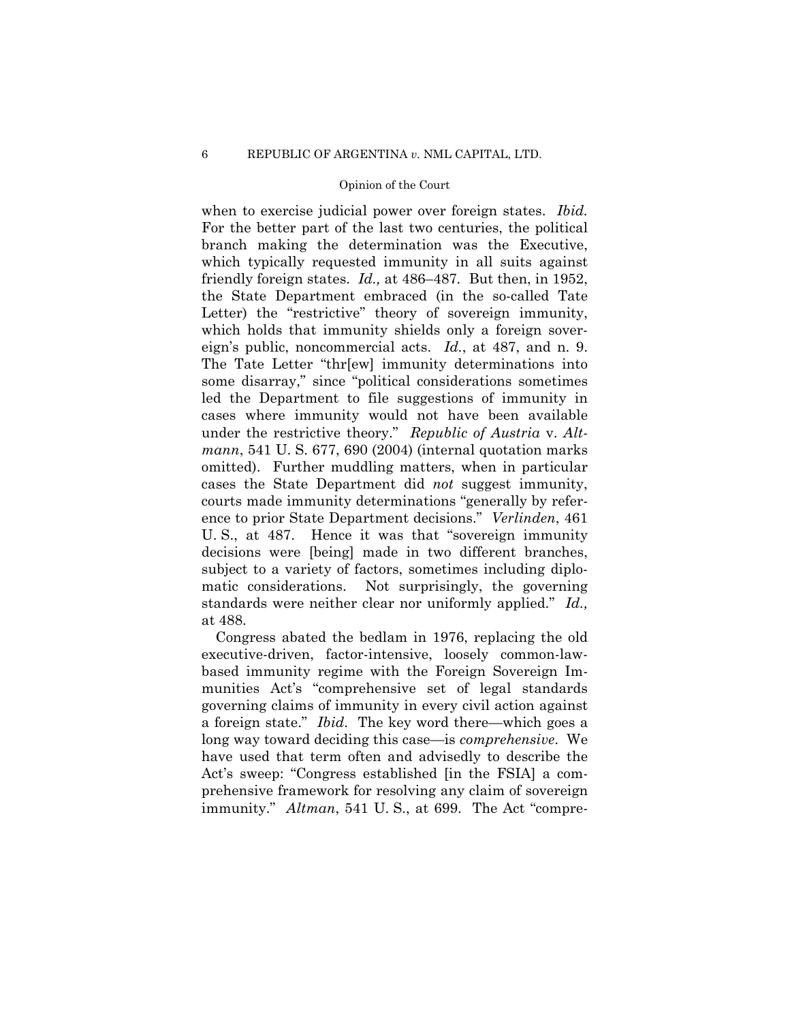when to exercise judicial power over foreign states. *Ibid.* For the better part of the last two centuries, the political branch making the determination was the Executive, which typically requested immunity in all suits against friendly foreign states. *Id.,* at 486–487*.* But then, in 1952, the State Department embraced (in the so-called Tate Letter) the "restrictive" theory of sovereign immunity, which holds that immunity shields only a foreign sovereign's public, noncommercial acts. *Id.*, at 487, and n. 9. The Tate Letter "thr[ew] immunity determinations into some disarray," since "political considerations sometimes led the Department to file suggestions of immunity in cases where immunity would not have been available under the restrictive theory." *Republic of Austria* v. *Altmann*, 541 U. S. 677, 690 (2004) (internal quotation marks omitted). Further muddling matters, when in particular cases the State Department did *not* suggest immunity, courts made immunity determinations "generally by reference to prior State Department decisions." *Verlinden*, 461 U. S., at 487. Hence it was that "sovereign immunity decisions were [being] made in two different branches, subject to a variety of factors, sometimes including diplomatic considerations. Not surprisingly, the governing standards were neither clear nor uniformly applied." *Id.,*  at 488.

Congress abated the bedlam in 1976, replacing the old executive-driven, factor-intensive, loosely common-lawbased immunity regime with the Foreign Sovereign Immunities Act's "comprehensive set of legal standards governing claims of immunity in every civil action against a foreign state." *Ibid*. The key word there—which goes a long way toward deciding this case—is *comprehensive*. We have used that term often and advisedly to describe the Act's sweep: "Congress established [in the FSIA] a comprehensive framework for resolving any claim of sovereign immunity." *Altman*, 541 U.S., at 699. The Act "compre-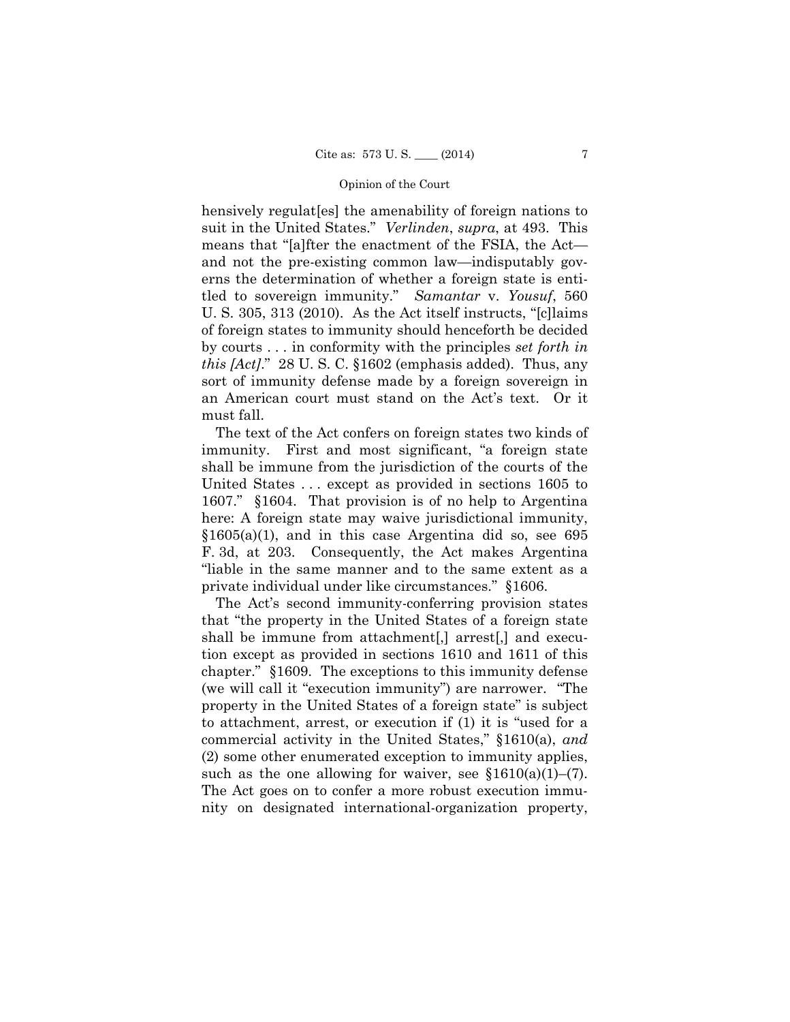hensively regulat [es] the amenability of foreign nations to suit in the United States." *Verlinden*, *supra*, at 493. This means that "[a]fter the enactment of the FSIA, the Act and not the pre-existing common law—indisputably governs the determination of whether a foreign state is entitled to sovereign immunity." *Samantar* v. *Yousuf*, 560 U. S. 305, 313 (2010). As the Act itself instructs, "[c]laims of foreign states to immunity should henceforth be decided by courts . . . in conformity with the principles *set forth in this [Act]*." 28 U. S. C. §1602 (emphasis added). Thus, any sort of immunity defense made by a foreign sovereign in an American court must stand on the Act's text. Or it must fall.

The text of the Act confers on foreign states two kinds of immunity. First and most significant, "a foreign state shall be immune from the jurisdiction of the courts of the United States . . . except as provided in sections 1605 to 1607." §1604. That provision is of no help to Argentina here: A foreign state may waive jurisdictional immunity,  $$1605(a)(1)$ , and in this case Argentina did so, see 695 F. 3d, at 203. Consequently, the Act makes Argentina "liable in the same manner and to the same extent as a private individual under like circumstances." §1606.

The Act's second immunity-conferring provision states that "the property in the United States of a foreign state shall be immune from attachment[,] arrest[,] and execution except as provided in sections 1610 and 1611 of this chapter." §1609. The exceptions to this immunity defense (we will call it "execution immunity") are narrower. "The property in the United States of a foreign state" is subject to attachment, arrest, or execution if (1) it is "used for a commercial activity in the United States," §1610(a), *and*  (2) some other enumerated exception to immunity applies, such as the one allowing for waiver, see  $$1610(a)(1)–(7)$ . The Act goes on to confer a more robust execution immunity on designated international-organization property,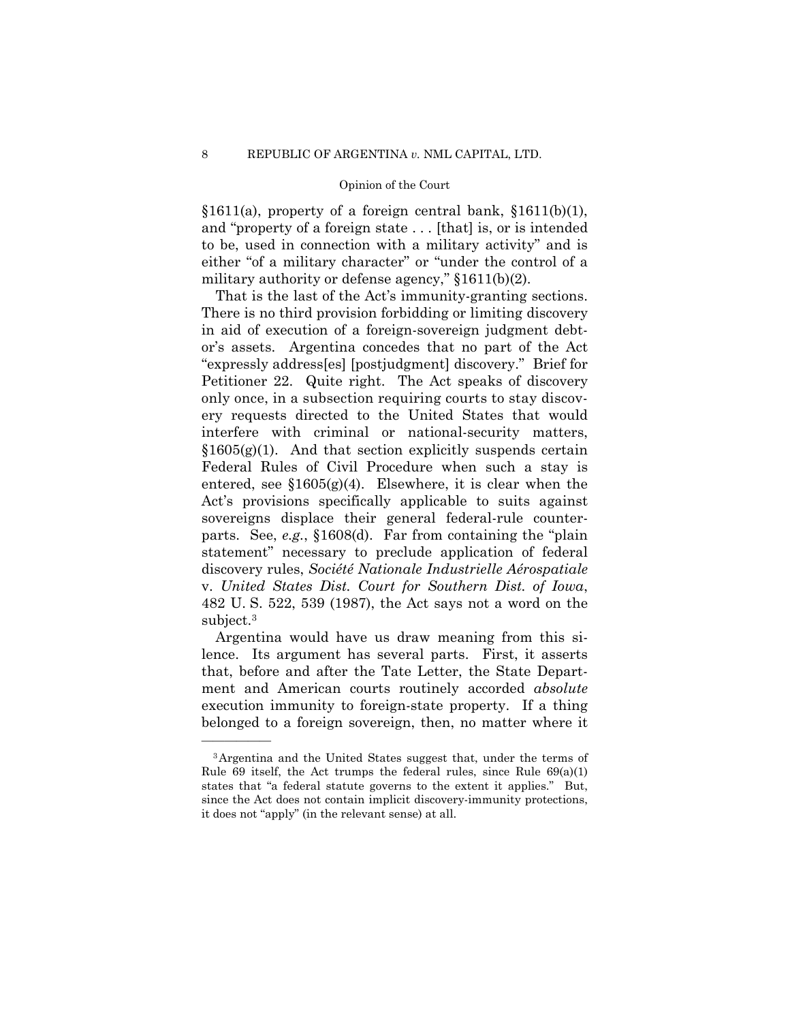$§1611(a)$ , property of a foreign central bank,  $§1611(b)(1)$ , and "property of a foreign state . . . [that] is, or is intended to be, used in connection with a military activity" and is either "of a military character" or "under the control of a military authority or defense agency," §1611(b)(2).

 That is the last of the Act's immunity-granting sections.  v. *United States Dist. Court for Southern Dist. of Iowa*, There is no third provision forbidding or limiting discovery in aid of execution of a foreign-sovereign judgment debtor's assets. Argentina concedes that no part of the Act "expressly address[es] [postjudgment] discovery." Brief for Petitioner 22. Quite right. The Act speaks of discovery only once, in a subsection requiring courts to stay discovery requests directed to the United States that would interfere with criminal or national-security matters,  $§1605(g)(1)$ . And that section explicitly suspends certain Federal Rules of Civil Procedure when such a stay is entered, see  $$1605(g)(4)$ . Elsewhere, it is clear when the Act's provisions specifically applicable to suits against sovereigns displace their general federal-rule counterparts. See, *e.g.*, §1608(d). Far from containing the "plain statement" necessary to preclude application of federal discovery rules, *Société Nationale Industrielle Aérospatiale*  482 U. S. 522, 539 (1987), the Act says not a word on the subject.<sup>3</sup>

Argentina would have us draw meaning from this silence. Its argument has several parts. First, it asserts that, before and after the Tate Letter, the State Department and American courts routinely accorded *absolute*  execution immunity to foreign-state property. If a thing belonged to a foreign sovereign, then, no matter where it

<sup>3</sup>Argentina and the United States suggest that, under the terms of Rule 69 itself, the Act trumps the federal rules, since Rule  $69(a)(1)$ states that "a federal statute governs to the extent it applies." But, since the Act does not contain implicit discovery-immunity protections, it does not "apply" (in the relevant sense) at all.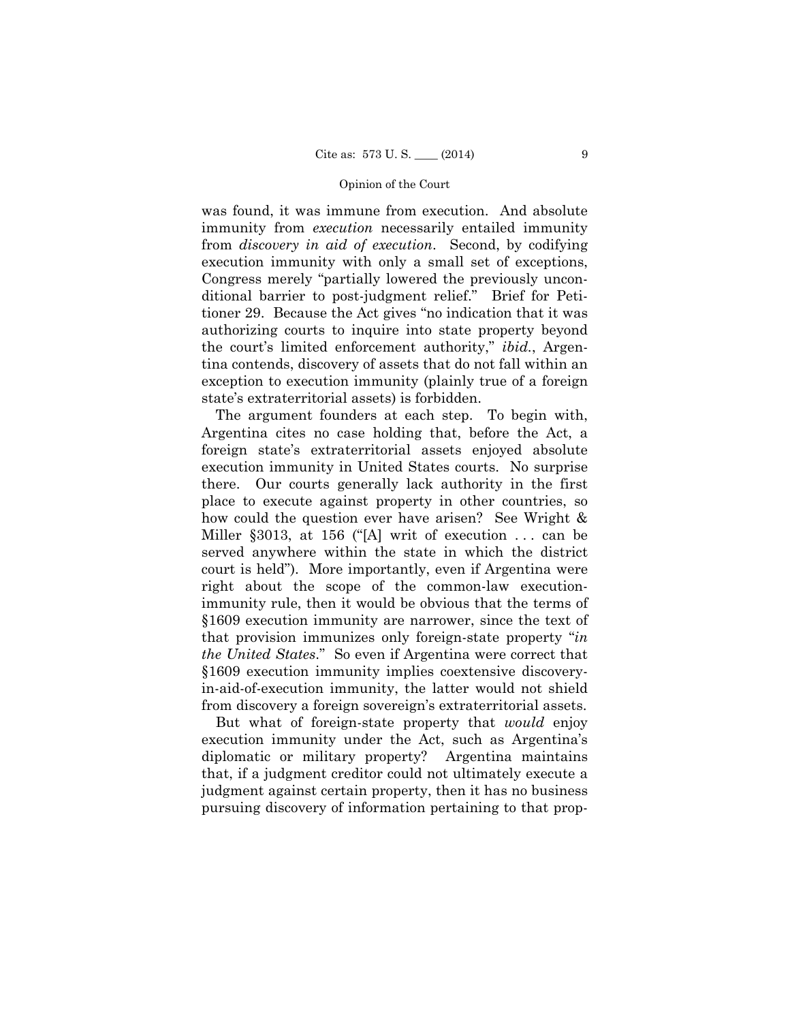was found, it was immune from execution. And absolute immunity from *execution* necessarily entailed immunity from *discovery in aid of execution*. Second, by codifying execution immunity with only a small set of exceptions, Congress merely "partially lowered the previously unconditional barrier to post-judgment relief." Brief for Petitioner 29. Because the Act gives "no indication that it was authorizing courts to inquire into state property beyond the court's limited enforcement authority," *ibid.*, Argentina contends, discovery of assets that do not fall within an exception to execution immunity (plainly true of a foreign state's extraterritorial assets) is forbidden.

The argument founders at each step. To begin with, Argentina cites no case holding that, before the Act, a foreign state's extraterritorial assets enjoyed absolute execution immunity in United States courts. No surprise there. Our courts generally lack authority in the first place to execute against property in other countries, so how could the question ever have arisen? See Wright & Miller §3013, at 156 ("[A] writ of execution ... can be served anywhere within the state in which the district court is held"). More importantly, even if Argentina were right about the scope of the common-law executionimmunity rule, then it would be obvious that the terms of §1609 execution immunity are narrower, since the text of that provision immunizes only foreign-state property "*in the United States*." So even if Argentina were correct that §1609 execution immunity implies coextensive discoveryin-aid-of-execution immunity, the latter would not shield from discovery a foreign sovereign's extraterritorial assets.

But what of foreign-state property that *would* enjoy execution immunity under the Act, such as Argentina's diplomatic or military property? Argentina maintains that, if a judgment creditor could not ultimately execute a judgment against certain property, then it has no business pursuing discovery of information pertaining to that prop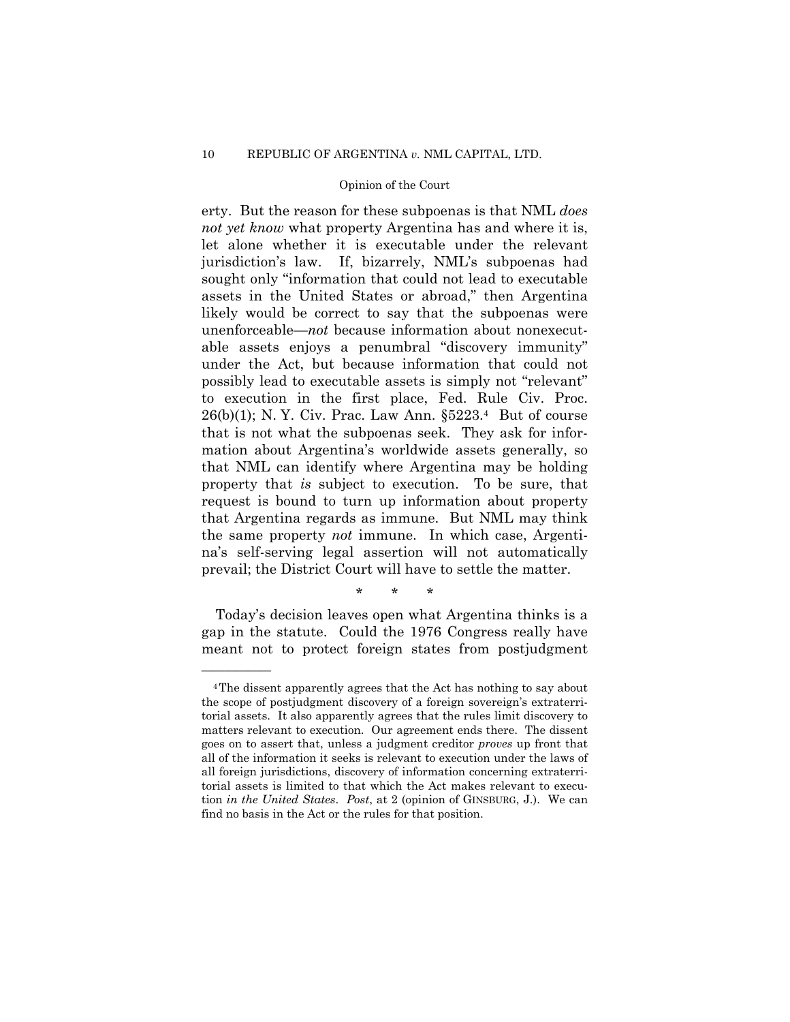erty. But the reason for these subpoenas is that NML *does not yet know* what property Argentina has and where it is, let alone whether it is executable under the relevant jurisdiction's law. If, bizarrely, NML's subpoenas had sought only "information that could not lead to executable assets in the United States or abroad," then Argentina likely would be correct to say that the subpoenas were unenforceable—*not* because information about nonexecutable assets enjoys a penumbral "discovery immunity" under the Act, but because information that could not possibly lead to executable assets is simply not "relevant" to execution in the first place, Fed. Rule Civ. Proc.  $26(b)(1)$ ; N. Y. Civ. Prac. Law Ann.  $\S5223.^4$  But of course that is not what the subpoenas seek. They ask for information about Argentina's worldwide assets generally, so that NML can identify where Argentina may be holding property that *is* subject to execution. To be sure, that request is bound to turn up information about property that Argentina regards as immune. But NML may think the same property *not* immune. In which case, Argentina's self-serving legal assertion will not automatically prevail; the District Court will have to settle the matter.

\* \* \*

Today's decision leaves open what Argentina thinks is a gap in the statute. Could the 1976 Congress really have meant not to protect foreign states from postjudgment

 torial assets. It also apparently agrees that the rules limit discovery to 4The dissent apparently agrees that the Act has nothing to say about the scope of postjudgment discovery of a foreign sovereign's extraterrimatters relevant to execution. Our agreement ends there. The dissent goes on to assert that, unless a judgment creditor *proves* up front that all of the information it seeks is relevant to execution under the laws of all foreign jurisdictions, discovery of information concerning extraterritorial assets is limited to that which the Act makes relevant to execution *in the United States*. *Post*, at 2 (opinion of GINSBURG, J.). We can find no basis in the Act or the rules for that position.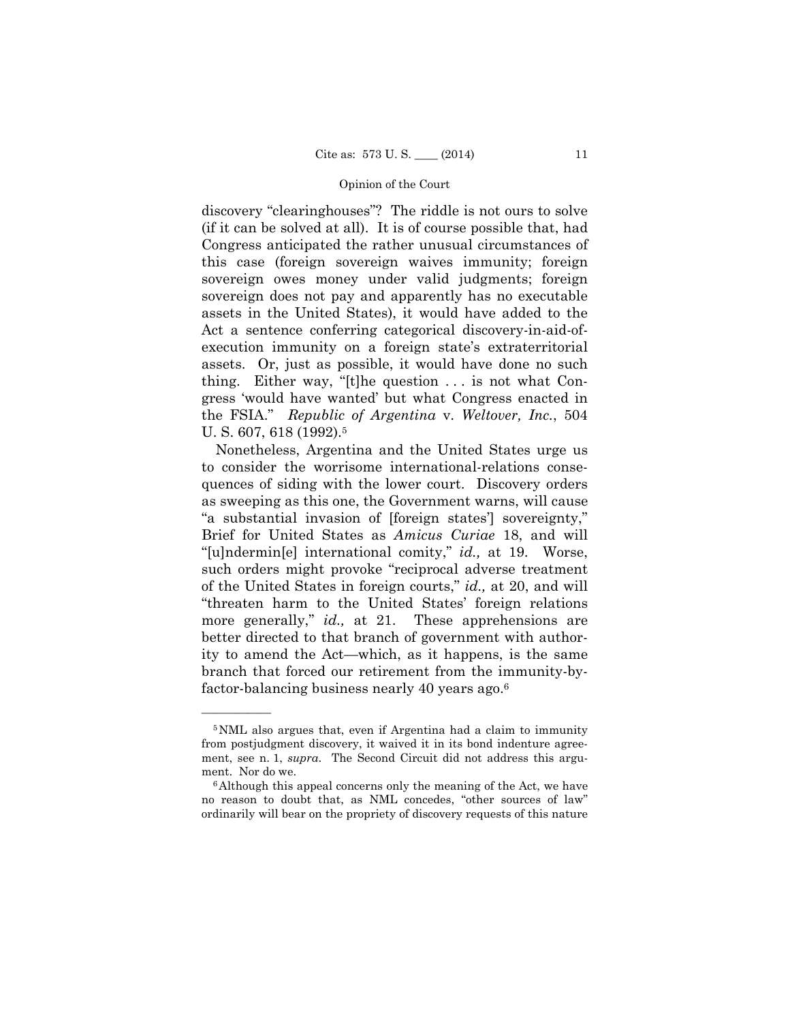discovery "clearinghouses"? The riddle is not ours to solve (if it can be solved at all). It is of course possible that, had Congress anticipated the rather unusual circumstances of this case (foreign sovereign waives immunity; foreign sovereign owes money under valid judgments; foreign sovereign does not pay and apparently has no executable assets in the United States), it would have added to the Act a sentence conferring categorical discovery-in-aid-ofexecution immunity on a foreign state's extraterritorial assets. Or, just as possible, it would have done no such thing. Either way, "[t]he question . . . is not what Congress 'would have wanted' but what Congress enacted in the FSIA." *Republic of Argentina* v. *Weltover, Inc.*, 504 U. S. 607, 618 (1992).<sup>5</sup>

Nonetheless, Argentina and the United States urge us to consider the worrisome international-relations consequences of siding with the lower court. Discovery orders as sweeping as this one, the Government warns, will cause "a substantial invasion of [foreign states'] sovereignty," Brief for United States as *Amicus Curiae* 18, and will "[u]ndermin[e] international comity," *id.,* at 19. Worse, such orders might provoke "reciprocal adverse treatment of the United States in foreign courts," *id.,* at 20, and will "threaten harm to the United States' foreign relations more generally," *id.,* at 21. These apprehensions are better directed to that branch of government with authority to amend the Act—which, as it happens, is the same branch that forced our retirement from the immunity-byfactor-balancing business nearly 40 years ago.6

 ment, see n. 1, *supra*. The Second Circuit did not address this argument. Nor do we.<br><sup>6</sup>Although this appeal concerns only the meaning of the Act, we have 5NML also argues that, even if Argentina had a claim to immunity from postjudgment discovery, it waived it in its bond indenture agree-

no reason to doubt that, as NML concedes, "other sources of law" ordinarily will bear on the propriety of discovery requests of this nature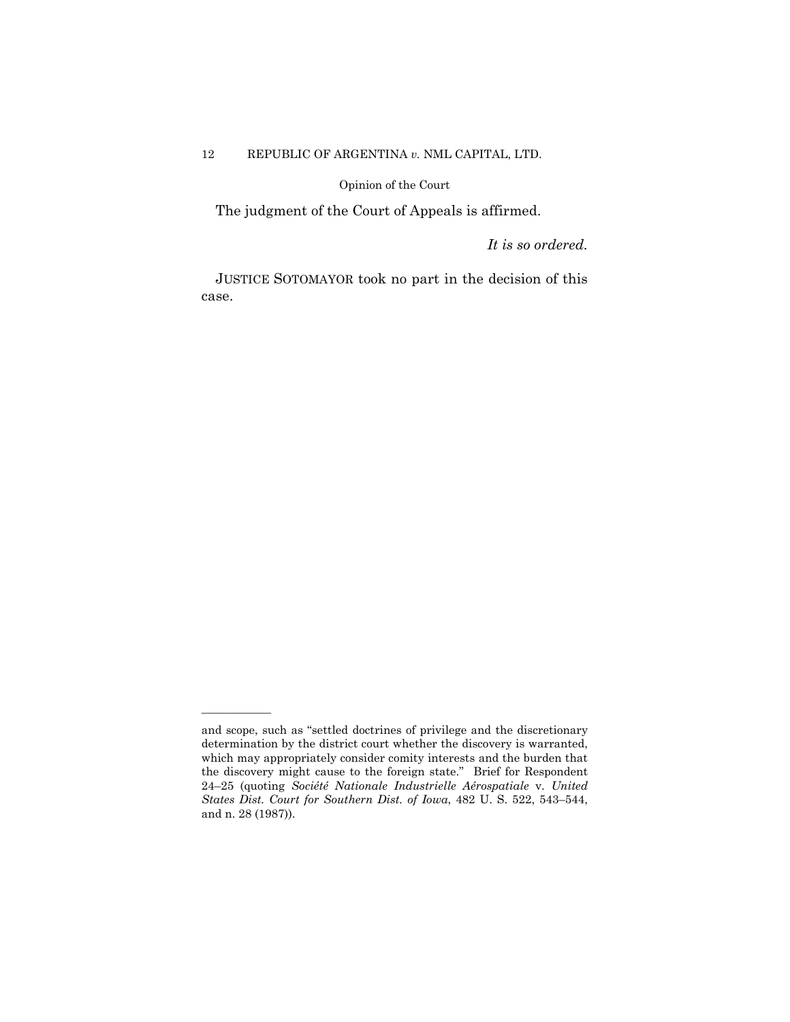The judgment of the Court of Appeals is affirmed.

*It is so ordered.*

 JUSTICE SOTOMAYOR took no part in the decision of this case.

and scope, such as "settled doctrines of privilege and the discretionary determination by the district court whether the discovery is warranted, which may appropriately consider comity interests and the burden that the discovery might cause to the foreign state." Brief for Respondent 24–25 (quoting *Société Nationale Industrielle Aérospatiale* v. *United States Dist. Court for Southern Dist. of Iowa*, 482 U. S. 522, 543–544, and n. 28 (1987)).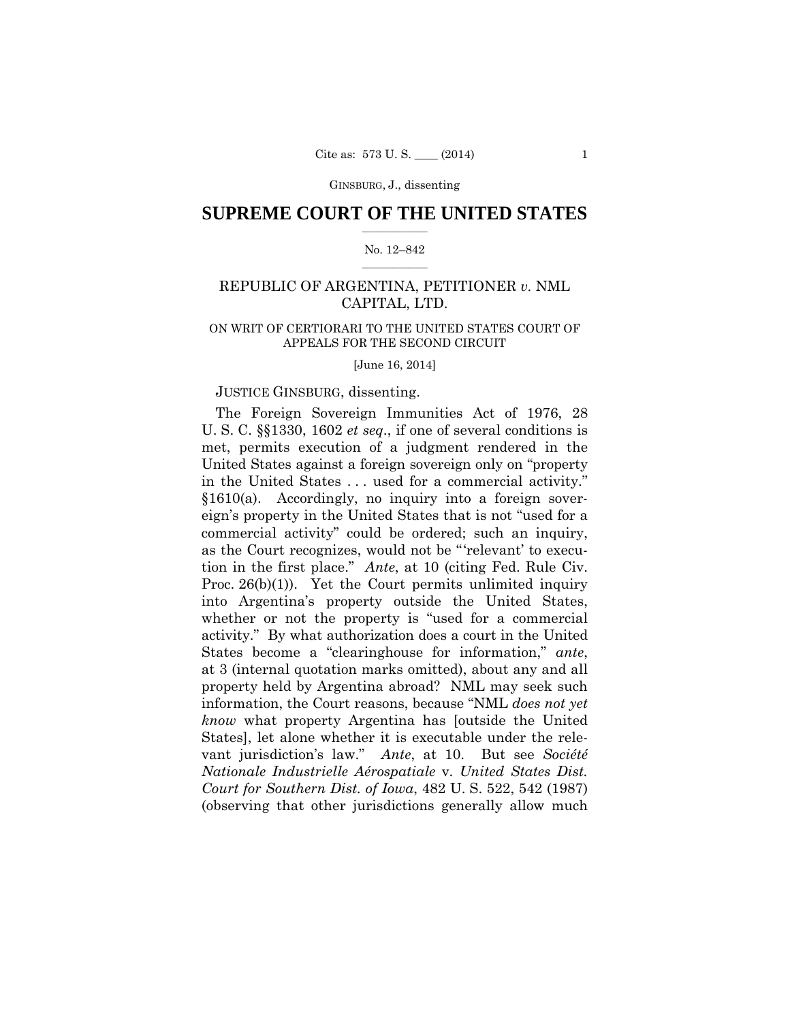GINSBURG, J., dissenting

## $\frac{1}{2}$  ,  $\frac{1}{2}$  ,  $\frac{1}{2}$  ,  $\frac{1}{2}$  ,  $\frac{1}{2}$  ,  $\frac{1}{2}$  ,  $\frac{1}{2}$ **SUPREME COURT OF THE UNITED STATES**

### $\frac{1}{2}$  ,  $\frac{1}{2}$  ,  $\frac{1}{2}$  ,  $\frac{1}{2}$  ,  $\frac{1}{2}$  ,  $\frac{1}{2}$ No. 12–842

## REPUBLIC OF ARGENTINA, PETITIONER *v.* NML CAPITAL, LTD.

## ON WRIT OF CERTIORARI TO THE UNITED STATES COURT OF APPEALS FOR THE SECOND CIRCUIT

[June 16, 2014]

## JUSTICE GINSBURG, dissenting.

 tion in the first place." *Ante*, at 10 (citing Fed. Rule Civ. activity." By what authorization does a court in the United The Foreign Sovereign Immunities Act of 1976, 28 U. S. C. §§1330, 1602 *et seq*., if one of several conditions is met, permits execution of a judgment rendered in the United States against a foreign sovereign only on "property in the United States . . . used for a commercial activity." §1610(a). Accordingly, no inquiry into a foreign sovereign's property in the United States that is not "used for a commercial activity" could be ordered; such an inquiry, as the Court recognizes, would not be "'relevant' to execu-Proc. 26(b)(1)). Yet the Court permits unlimited inquiry into Argentina's property outside the United States, whether or not the property is "used for a commercial States become a "clearinghouse for information," *ante*, at 3 (internal quotation marks omitted), about any and all property held by Argentina abroad? NML may seek such information, the Court reasons, because "NML *does not yet know* what property Argentina has [outside the United States], let alone whether it is executable under the relevant jurisdiction's law." *Ante*, at 10. But see *Société Nationale Industrielle Aérospatiale* v. *United States Dist. Court for Southern Dist. of Iowa*, 482 U. S. 522, 542 (1987) (observing that other jurisdictions generally allow much